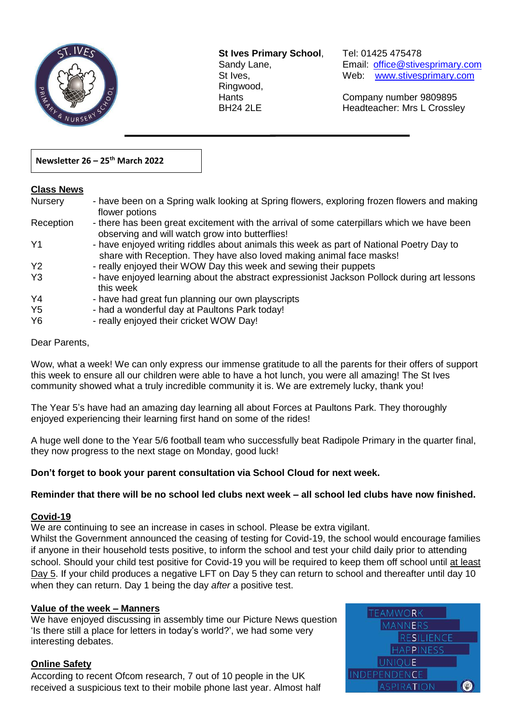

**St Ives Primary School**, Tel: 01425 475478 Ringwood,

 $\overline{a}$ 

Sandy Lane, Email: office@stivesprimary.com St Ives, [www.stivesprimary.com](http://www.stives.dorset.sch.uk/)

Hants Company number 9809895 BH24 2LE Headteacher: Mrs L Crossley

## **Newsletter 26 – 25th March 2022**

#### **Class News**

| <b>Nursery</b>                   | - have been on a Spring walk looking at Spring flowers, exploring frozen flowers and making<br>flower potions                                                    |
|----------------------------------|------------------------------------------------------------------------------------------------------------------------------------------------------------------|
| Reception                        | - there has been great excitement with the arrival of some caterpillars which we have been<br>observing and will watch grow into butterflies!                    |
| Y <sub>1</sub>                   | - have enjoyed writing riddles about animals this week as part of National Poetry Day to<br>share with Reception. They have also loved making animal face masks! |
| <b>Y2</b>                        | - really enjoyed their WOW Day this week and sewing their puppets                                                                                                |
| Y3                               | - have enjoyed learning about the abstract expressionist Jackson Pollock during art lessons<br>this week                                                         |
| Y4                               | - have had great fun planning our own playscripts                                                                                                                |
| Y <sub>5</sub><br>Y <sub>6</sub> | - had a wonderful day at Paultons Park today!<br>- really enjoyed their cricket WOW Day!                                                                         |

### Dear Parents,

Wow, what a week! We can only express our immense gratitude to all the parents for their offers of support this week to ensure all our children were able to have a hot lunch, you were all amazing! The St Ives community showed what a truly incredible community it is. We are extremely lucky, thank you!

The Year 5's have had an amazing day learning all about Forces at Paultons Park. They thoroughly enjoyed experiencing their learning first hand on some of the rides!

A huge well done to the Year 5/6 football team who successfully beat Radipole Primary in the quarter final, they now progress to the next stage on Monday, good luck!

### **Don't forget to book your parent consultation via School Cloud for next week.**

#### **Reminder that there will be no school led clubs next week – all school led clubs have now finished.**

### **Covid-19**

We are continuing to see an increase in cases in school. Please be extra vigilant.

Whilst the Government announced the ceasing of testing for Covid-19, the school would encourage families if anyone in their household tests positive, to inform the school and test your child daily prior to attending school. Should your child test positive for Covid-19 you will be required to keep them off school until at least Day 5. If your child produces a negative LFT on Day 5 they can return to school and thereafter until day 10 when they can return. Day 1 being the day *after* a positive test.

#### **Value of the week – Manners**

We have enjoyed discussing in assembly time our Picture News question 'Is there still a place for letters in today's world?', we had some very interesting debates.

## **Online Safety**

According to recent Ofcom research, 7 out of 10 people in the UK received a suspicious text to their mobile phone last year. Almost half